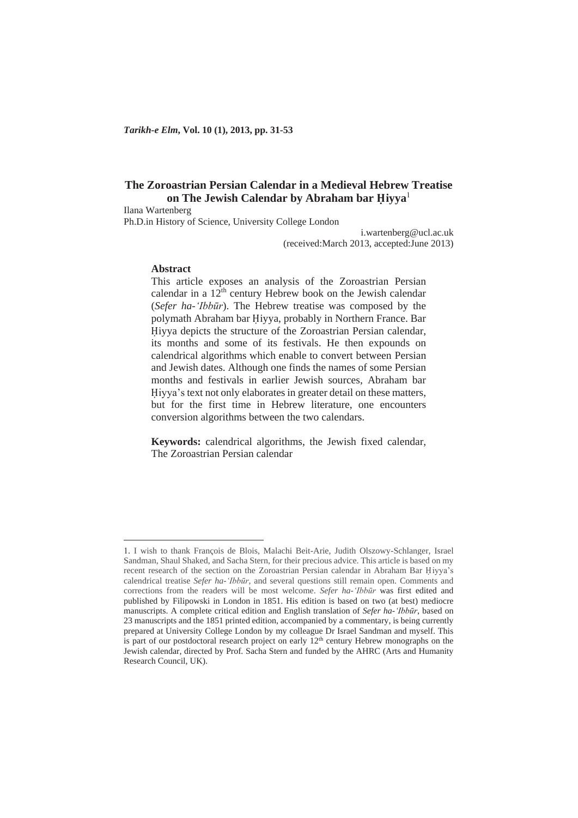# **The Zoroastrian Persian Calendar in a Medieval Hebrew Treatise on The Jewish Calendar by Abraham bar ֲiyya**<sup>1</sup>

Ilana Wartenberg

Ph.D.in History of Science, University College London

i.wartenberg@ucl.ac.uk (received:March 2013, accepted:June 2013)

### **Abstract**

This article exposes an analysis of the Zoroastrian Persian calendar in a  $12^{th}$  century Hebrew book on the Jewish calendar (*Sefer ha-'Ibbnjr*). The Hebrew treatise was composed by the polymath Abraham bar Ꮱiyya, probably in Northern France. Bar Hiyya depicts the structure of the Zoroastrian Persian calendar, its months and some of its festivals. He then expounds on calendrical algorithms which enable to convert between Persian and Jewish dates. Although one finds the names of some Persian months and festivals in earlier Jewish sources, Abraham bar Hiyya's text not only elaborates in greater detail on these matters, but for the first time in Hebrew literature, one encounters conversion algorithms between the two calendars.

**Keywords:** calendrical algorithms, the Jewish fixed calendar, The Zoroastrian Persian calendar

<sup>1</sup>. I wish to thank François de Blois, Malachi Beit-Arie, Judith Olszowy-Schlanger, Israel Sandman, Shaul Shaked, and Sacha Stern, for their precious advice. This article is based on my recent research of the section on the Zoroastrian Persian calendar in Abraham Bar Hiyya's calendrical treatise *Sefer ha-'Ibbnjr*, and several questions still remain open. Comments and corrections from the readers will be most welcome. *Sefer ha-'Ibbnjr* was first edited and published by Filipowski in London in 1851. His edition is based on two (at best) mediocre manuscripts. A complete critical edition and English translation of *Sefer ha-'Ibbnjr*, based on 23 manuscripts and the 1851 printed edition, accompanied by a commentary, is being currently prepared at University College London by my colleague Dr Israel Sandman and myself. This is part of our postdoctoral research project on early  $12<sup>th</sup>$  century Hebrew monographs on the Jewish calendar, directed by Prof. Sacha Stern and funded by the AHRC (Arts and Humanity Research Council, UK).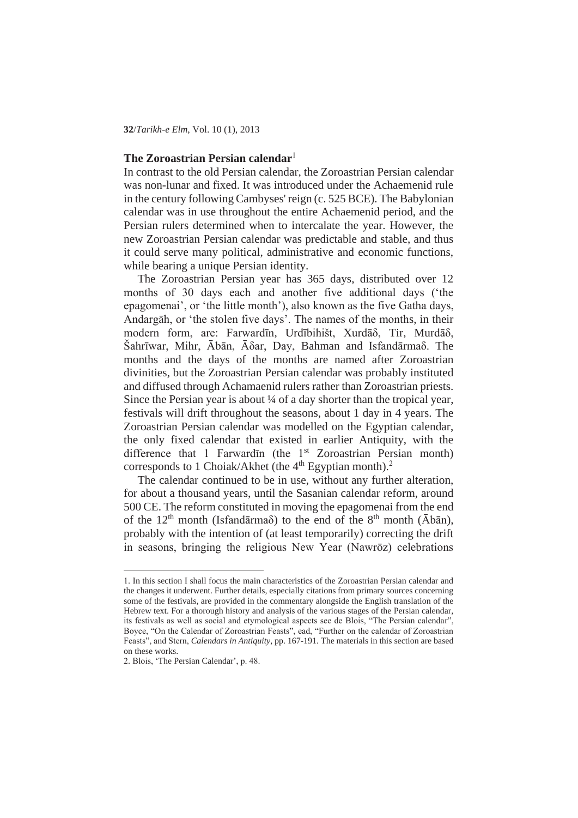**32**/*Tarikh-e Elm*, Vol. 10 (1), 2013

#### **The Zoroastrian Persian calendar**<sup>1</sup>

In contrast to the old Persian calendar, the Zoroastrian Persian calendar was non-lunar and fixed. It was introduced under the Achaemenid rule in the century following Cambyses' reign (c. 525 BCE). The Babylonian calendar was in use throughout the entire Achaemenid period, and the Persian rulers determined when to intercalate the year. However, the new Zoroastrian Persian calendar was predictable and stable, and thus it could serve many political, administrative and economic functions, while bearing a unique Persian identity.

The Zoroastrian Persian year has 365 days, distributed over 12 months of 30 days each and another five additional days ('the epagomenai', or 'the little month'), also known as the five Gatha days, Andargāh, or 'the stolen five days'. The names of the months, in their modern form, are: Farwardīn, Urdībihišt, Xurdā $\delta$ , Tir, Murdā $\delta$ , Šahrīwar, Mihr, Ābān, Ā $\delta$ ar, Dav, Bahman and Isfandārma $\delta$ . The months and the days of the months are named after Zoroastrian divinities, but the Zoroastrian Persian calendar was probably instituted and diffused through Achamaenid rulers rather than Zoroastrian priests. Since the Persian year is about ¼ of a day shorter than the tropical year, festivals will drift throughout the seasons, about 1 day in 4 years. The Zoroastrian Persian calendar was modelled on the Egyptian calendar, the only fixed calendar that existed in earlier Antiquity, with the difference that 1 Farward<del>un</del> (the 1<sup>st</sup> Zoroastrian Persian month) corresponds to 1 Choiak/Akhet (the  $4<sup>th</sup>$  Egyptian month).<sup>2</sup>

The calendar continued to be in use, without any further alteration, for about a thousand years, until the Sasanian calendar reform, around 500 CE. The reform constituted in moving the epagomenai from the end of the  $12<sup>th</sup>$  month (Isfandarma $\delta$ ) to the end of the  $8<sup>th</sup>$  month ( $\bar{A}b\bar{a}n$ ), probably with the intention of (at least temporarily) correcting the drift in seasons, bringing the religious New Year (Nawrōz) celebrations

<sup>1</sup>. In this section I shall focus the main characteristics of the Zoroastrian Persian calendar and the changes it underwent. Further details, especially citations from primary sources concerning some of the festivals, are provided in the commentary alongside the English translation of the Hebrew text. For a thorough history and analysis of the various stages of the Persian calendar, its festivals as well as social and etymological aspects see de Blois, "The Persian calendar", Boyce, "On the Calendar of Zoroastrian Feasts", ead, "Further on the calendar of Zoroastrian Feasts", and Stern, *Calendars in Antiquity*, pp. 167-191. The materials in this section are based on these works.

<sup>2</sup>. Blois, 'The Persian Calendar', p. 48.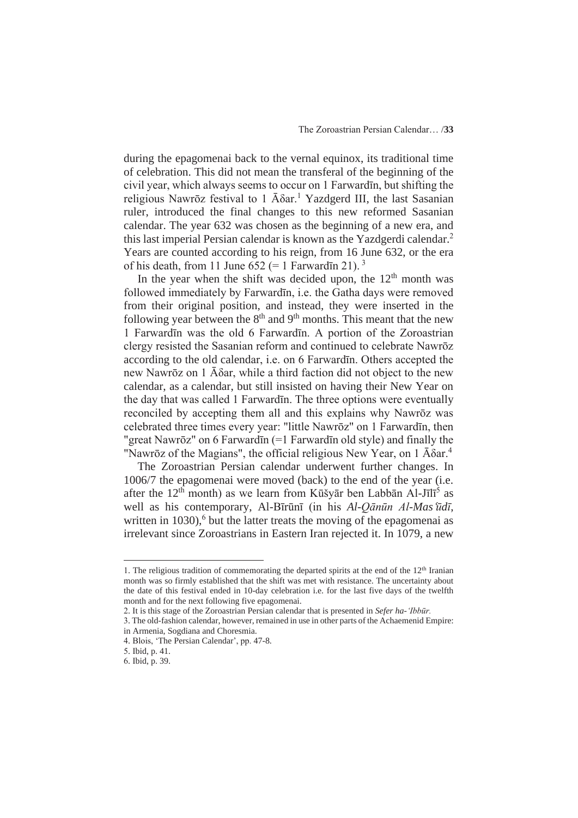during the epagomenai back to the vernal equinox, its traditional time of celebration. This did not mean the transferal of the beginning of the civil year, which always seems to occur on 1 Farwardin, but shifting the religious Nawrōz festival to 1  $\bar{A} \delta a r$ .<sup>1</sup> Yazdgerd III, the last Sasanian ruler, introduced the final changes to this new reformed Sasanian calendar. The year 632 was chosen as the beginning of a new era, and this last imperial Persian calendar is known as the Yazdgerdi calendar.<sup>2</sup> Years are counted according to his reign, from 16 June 632, or the era of his death, from 11 June 652 (= 1 Farward $\bar{m}$  21).<sup>3</sup>

In the year when the shift was decided upon, the  $12<sup>th</sup>$  month was followed immediately by Farwardīn, i.e. the Gatha days were removed from their original position, and instead, they were inserted in the following year between the  $8<sup>th</sup>$  and  $9<sup>th</sup>$  months. This meant that the new 1 Farwardīn was the old 6 Farwardīn. A portion of the Zoroastrian clergy resisted the Sasanian reform and continued to celebrate Nawrōz according to the old calendar, i.e. on 6 Farward<sub>I</sub>n. Others accepted the new Nawrōz on 1  $\bar{A}$ δar, while a third faction did not object to the new calendar, as a calendar, but still insisted on having their New Year on the day that was called 1 Farwardin. The three options were eventually reconciled by accepting them all and this explains why Nawrōz was celebrated three times every year: "little Nawrōz" on 1 Farwardīn, then "great Nawrōz" on 6 Farwardīn  $(=1$  Farwardīn old style) and finally the "Nawrōz of the Magians", the official religious New Year, on  $1 \overline{A} \delta a r^4$ 

The Zoroastrian Persian calendar underwent further changes. In 1006/7 the epagomenai were moved (back) to the end of the year (i.e. after the  $12<sup>th</sup>$  month) as we learn from Kūšyār ben Labbān Al-Jīlī<sup>5</sup> as well as his contemporary, Al-Bīrūnī (in his *Al-Oānūn Al-Mas'ūdī*, written in  $1030$ ,  $6$  but the latter treats the moving of the epagomenai as irrelevant since Zoroastrians in Eastern Iran rejected it. In 1079, a new

<sup>1.</sup> The religious tradition of commemorating the departed spirits at the end of the  $12<sup>th</sup>$  Iranian month was so firmly established that the shift was met with resistance. The uncertainty about the date of this festival ended in 10-day celebration i.e. for the last five days of the twelfth month and for the next following five epagomenai.

<sup>2</sup>. It is this stage of the Zoroastrian Persian calendar that is presented in *Sefer ha-'Ibbnjr.*

<sup>3</sup>. The old-fashion calendar, however, remained in use in other parts of the Achaemenid Empire: in Armenia, Sogdiana and Choresmia.

<sup>4</sup>. Blois, 'The Persian Calendar', pp. 47-8.

<sup>5</sup>. Ibid, p. 41.

<sup>6</sup>. Ibid, p. 39.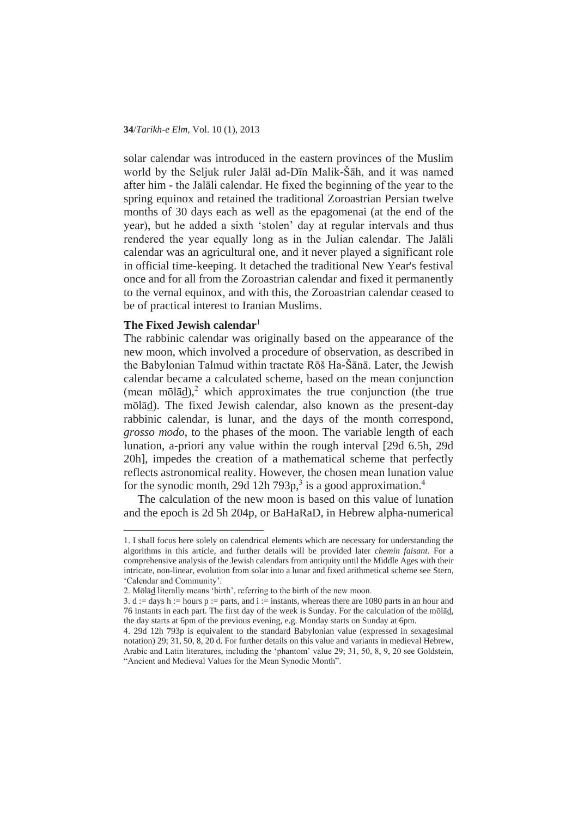solar calendar was introduced in the eastern provinces of the Muslim world by the Seljuk ruler Jalāl ad-Dīn Malik-Šāh, and it was named after him - the Jalali calendar. He fixed the beginning of the year to the spring equinox and retained the traditional Zoroastrian Persian twelve months of 30 days each as well as the epagomenai (at the end of the year), but he added a sixth 'stolen' day at regular intervals and thus rendered the year equally long as in the Julian calendar. The Jalali calendar was an agricultural one, and it never played a significant role in official time-keeping. It detached the traditional New Year's festival once and for all from the Zoroastrian calendar and fixed it permanently to the vernal equinox, and with this, the Zoroastrian calendar ceased to be of practical interest to Iranian Muslims.

## **The Fixed Jewish calendar**<sup>1</sup>

The rabbinic calendar was originally based on the appearance of the new moon, which involved a procedure of observation, as described in the Babylonian Talmud within tractate Rōš Ha-Šānā. Later, the Jewish calendar became a calculated scheme, based on the mean conjunction (mean mōlā $\underline{d}$ ),<sup>2</sup> which approximates the true conjunction (the true mōlād). The fixed Jewish calendar, also known as the present-day rabbinic calendar, is lunar, and the days of the month correspond, *grosso modo*, to the phases of the moon. The variable length of each lunation, a-priori any value within the rough interval [29d 6.5h, 29d 20h], impedes the creation of a mathematical scheme that perfectly reflects astronomical reality. However, the chosen mean lunation value for the synodic month, 29d 12h 793p,<sup>3</sup> is a good approximation.<sup>4</sup>

The calculation of the new moon is based on this value of lunation and the epoch is 2d 5h 204p, or BaHaRaD, in Hebrew alpha-numerical

<sup>1</sup>. I shall focus here solely on calendrical elements which are necessary for understanding the algorithms in this article, and further details will be provided later *chemin faisant*. For a comprehensive analysis of the Jewish calendars from antiquity until the Middle Ages with their intricate, non-linear, evolution from solar into a lunar and fixed arithmetical scheme see Stern, 'Calendar and Community'.

<sup>2.</sup> Mōlād literally means 'birth', referring to the birth of the new moon.

<sup>3.</sup> d := days h := hours p := parts, and i := instants, whereas there are 1080 parts in an hour and 76 instants in each part. The first day of the week is Sunday. For the calculation of the mōlād, the day starts at 6pm of the previous evening, e.g. Monday starts on Sunday at 6pm.

<sup>4</sup>. 29d 12h 793p is equivalent to the standard Babylonian value (expressed in sexagesimal notation) 29; 31, 50, 8, 20 d. For further details on this value and variants in medieval Hebrew, Arabic and Latin literatures, including the 'phantom' value 29; 31, 50, 8, 9, 20 see Goldstein, "Ancient and Medieval Values for the Mean Synodic Month".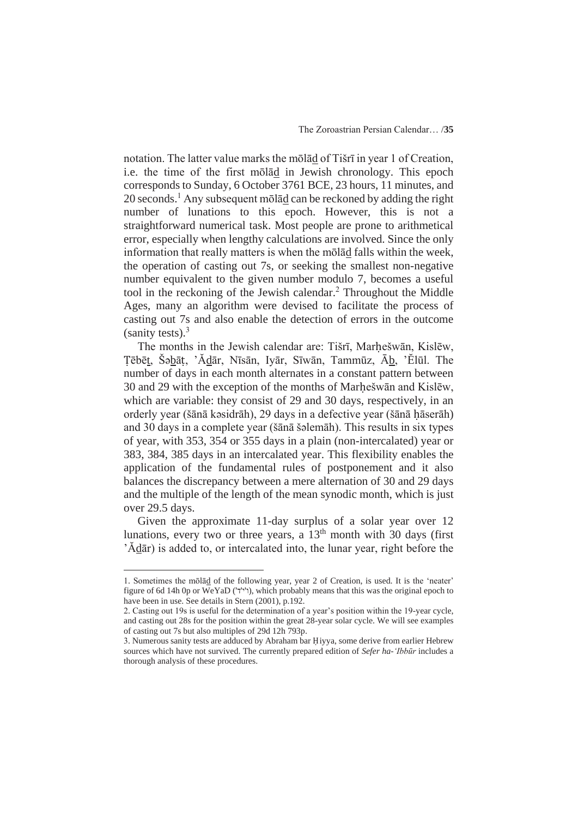notation. The latter value marks the molad of Tišri in year 1 of Creation, i.e. the time of the first molad in Jewish chronology. This epoch corresponds to Sunday, 6 October 3761 BCE, 23 hours, 11 minutes, and  $20$  seconds.<sup>1</sup> Any subsequent molad can be reckoned by adding the right number of lunations to this epoch. However, this is not a straightforward numerical task. Most people are prone to arithmetical error, especially when lengthy calculations are involved. Since the only information that really matters is when the molad falls within the week, the operation of casting out 7s, or seeking the smallest non-negative number equivalent to the given number modulo 7, becomes a useful tool in the reckoning of the Jewish calendar. $<sup>2</sup>$  Throughout the Middle</sup> Ages, many an algorithm were devised to facilitate the process of casting out 7s and also enable the detection of errors in the outcome (sanity tests). $3$ 

The months in the Jewish calendar are: Tišrī, Marhešwān, Kislēw, Tēbēt, Šəbāt, 'Ădār, Nīsān, Iyār, Sīwān, Tammūz, Āb, 'Ělūl. The number of days in each month alternates in a constant pattern between 30 and 29 with the exception of the months of Marhešwan and Kislew, which are variable: they consist of 29 and 30 days, respectively, in an orderly year (šānā kəsidrāh), 29 days in a defective year (šānā hāserāh) and 30 days in a complete year (šānā šəlemāh). This results in six types of year, with 353, 354 or 355 days in a plain (non-intercalated) year or 383, 384, 385 days in an intercalated year. This flexibility enables the application of the fundamental rules of postponement and it also balances the discrepancy between a mere alternation of 30 and 29 days and the multiple of the length of the mean synodic month, which is just over 29.5 days.

Given the approximate 11-day surplus of a solar year over 12 lunations, every two or three years, a  $13<sup>th</sup>$  month with 30 days (first 'Adar) is added to, or intercalated into, the lunar year, right before the

<sup>1.</sup> Sometimes the mōlad of the following year, year 2 of Creation, is used. It is the 'neater' figure of 6d 14h 0p or WeYaD (' $\check{r}$ '), which probably means that this was the original epoch to have been in use. See details in Stern (2001), p.192.

<sup>2</sup>. Casting out 19s is useful for the determination of a year's position within the 19-year cycle, and casting out 28s for the position within the great 28-year solar cycle. We will see examples of casting out 7s but also multiples of 29d 12h 793p.

<sup>3.</sup> Numerous sanity tests are adduced by Abraham bar Hiyya, some derive from earlier Hebrew sources which have not survived. The currently prepared edition of *Sefer ha-'Ibbnjr* includes a thorough analysis of these procedures.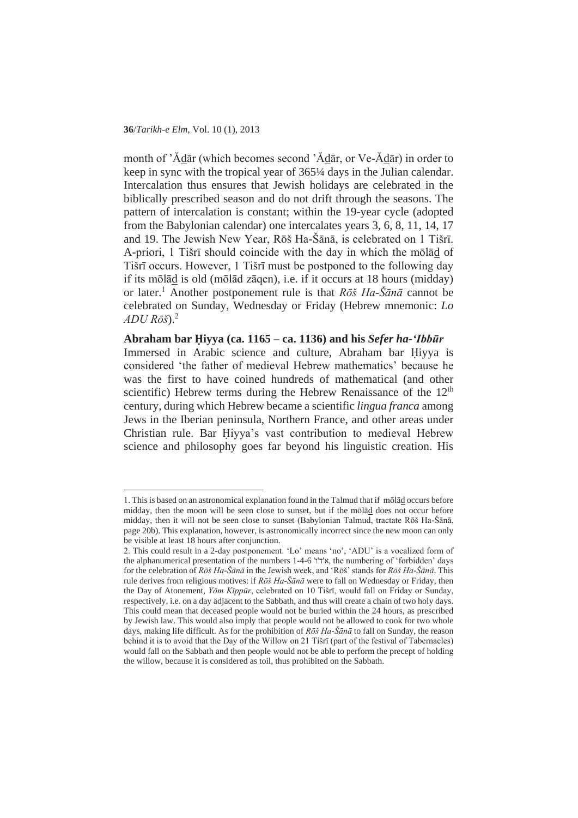month of 'Ădār (which becomes second 'Ădār, or Ve-Ădār) in order to keep in sync with the tropical year of 365¼ days in the Julian calendar. Intercalation thus ensures that Jewish holidays are celebrated in the biblically prescribed season and do not drift through the seasons. The pattern of intercalation is constant; within the 19-year cycle (adopted from the Babylonian calendar) one intercalates years 3, 6, 8, 11, 14, 17 and 19. The Jewish New Year, Rōš Ha-Šānā, is celebrated on 1 Tišrī. A-priori, 1 Tišrī should coincide with the day in which the molad of Tišrī occurs. However, 1 Tišrī must be postponed to the following day if its molad is old (molad zaqen), i.e. if it occurs at 18 hours (midday) or later.<sup>1</sup> Another postponement rule is that *Rōš Ha*- $\tilde{S}\bar{a}n\bar{a}$  cannot be celebrated on Sunday, Wednesday or Friday (Hebrew mnemonic: *Lo*  $ADU R\bar{o}$  $\tilde{s}$  $.2$ 

**Abraham bar ֲiyya (ca. 1165 – ca. 1136) and his** *Sefer ha-'Ibbnjr* Immersed in Arabic science and culture, Abraham bar Hiyya is considered 'the father of medieval Hebrew mathematics' because he was the first to have coined hundreds of mathematical (and other scientific) Hebrew terms during the Hebrew Renaissance of the  $12<sup>th</sup>$ century, during which Hebrew became a scientific *lingua franca* among Jews in the Iberian peninsula, Northern France, and other areas under Christian rule. Bar Hivya's vast contribution to medieval Hebrew science and philosophy goes far beyond his linguistic creation. His

<sup>1.</sup> This is based on an astronomical explanation found in the Talmud that if molad occurs before midday, then the moon will be seen close to sunset, but if the molad does not occur before midday, then it will not be seen close to sunset (Babylonian Talmud, tractate Rōš Ha-Šānā, page 20b). This explanation, however, is astronomically incorrect since the new moon can only be visible at least 18 hours after conjunction.

<sup>2.</sup> This could result in a 2-day postponement. 'Lo' means 'no', 'ADU' is a vocalized form of the alphanumerical presentation of the numbers 1-4-6 '†', the numbering of 'forbidden' days for the celebration of *Rǀš Ha-ŠƗnƗ* in the Jewish week, and 'Rǀš' stands for *Rǀš Ha-ŠƗnƗ*. This rule derives from religious motives: if *Rōš Ha*- $\bar{\tilde{S}}$ *an* $\tilde{a}$  were to fall on Wednesday or Friday, then the Day of Atonement, *Yōm Kīppūr*, celebrated on 10 Tišrī, would fall on Friday or Sunday, respectively, i.e. on a day adjacent to the Sabbath, and thus will create a chain of two holy days. This could mean that deceased people would not be buried within the 24 hours, as prescribed by Jewish law. This would also imply that people would not be allowed to cook for two whole days, making life difficult. As for the prohibition of  $R\tilde{o}\tilde{s}$  Ha- $\tilde{S}\tilde{a}n\tilde{a}$  to fall on Sunday, the reason behind it is to avoid that the Day of the Willow on 21 Tišrī (part of the festival of Tabernacles) would fall on the Sabbath and then people would not be able to perform the precept of holding the willow, because it is considered as toil, thus prohibited on the Sabbath.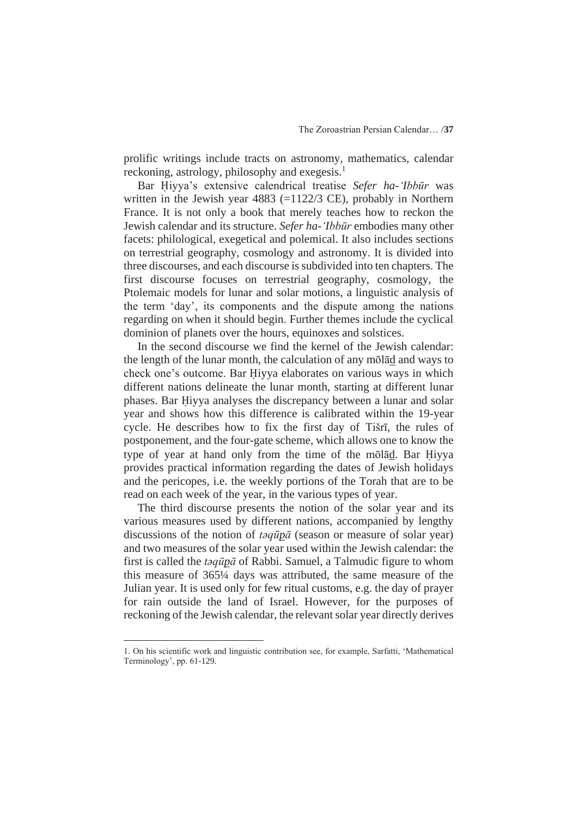prolific writings include tracts on astronomy, mathematics, calendar reckoning, astrology, philosophy and exegesis.<sup>1</sup>

Bar Hivya's extensive calendrical treatise *Sefer ha-'Ibbūr* was written in the Jewish year 4883 (=1122/3 CE), probably in Northern France. It is not only a book that merely teaches how to reckon the Jewish calendar and its structure. *Sefer ha-'Ibbnjr* embodies many other facets: philological, exegetical and polemical. It also includes sections on terrestrial geography, cosmology and astronomy. It is divided into three discourses, and each discourse is subdivided into ten chapters. The first discourse focuses on terrestrial geography, cosmology, the Ptolemaic models for lunar and solar motions, a linguistic analysis of the term 'day', its components and the dispute among the nations regarding on when it should begin. Further themes include the cyclical dominion of planets over the hours, equinoxes and solstices.

In the second discourse we find the kernel of the Jewish calendar: the length of the lunar month, the calculation of any molad and ways to check one's outcome. Bar Hiyya elaborates on various ways in which different nations delineate the lunar month, starting at different lunar phases. Bar Hiyya analyses the discrepancy between a lunar and solar year and shows how this difference is calibrated within the 19-year cycle. He describes how to fix the first day of Tišrī, the rules of postponement, and the four-gate scheme, which allows one to know the type of year at hand only from the time of the molad. Bar Hiyya provides practical information regarding the dates of Jewish holidays and the pericopes, i.e. the weekly portions of the Torah that are to be read on each week of the year, in the various types of year.

The third discourse presents the notion of the solar year and its various measures used by different nations, accompanied by lengthy discussions of the notion of *taqūpā* (season or measure of solar year) and two measures of the solar year used within the Jewish calendar: the first is called the *t* $\partial q \bar{u} \partial \bar{q}$  of Rabbi. Samuel, a Talmudic figure to whom this measure of 365¼ days was attributed, the same measure of the Julian year. It is used only for few ritual customs, e.g. the day of prayer for rain outside the land of Israel. However, for the purposes of reckoning of the Jewish calendar, the relevant solar year directly derives

<sup>1</sup>. On his scientific work and linguistic contribution see, for example, Sarfatti, 'Mathematical Terminology', pp. 61-129.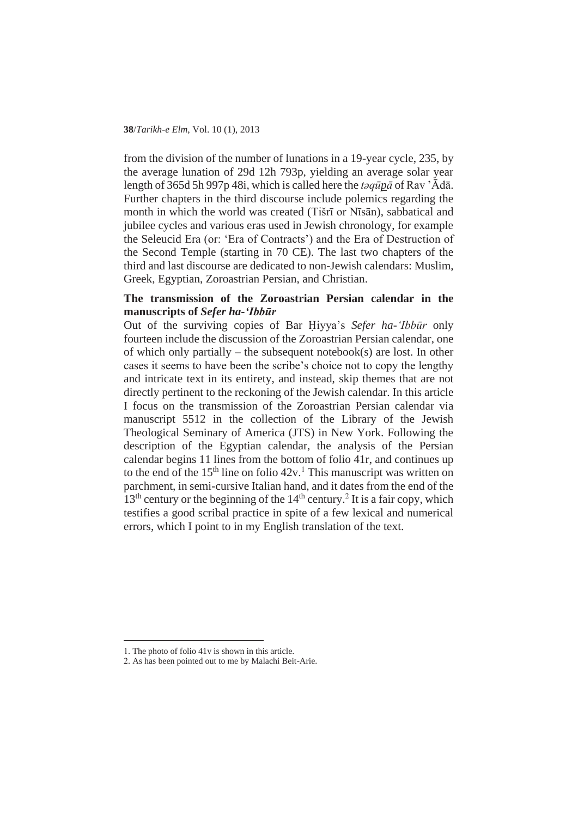from the division of the number of lunations in a 19-year cycle, 235, by the average lunation of 29d 12h 793p, yielding an average solar year length of 365d 5h 997p 48i, which is called here the *taquna* of Rav 'Ādā. Further chapters in the third discourse include polemics regarding the month in which the world was created (Tišrī or Nīsān), sabbatical and jubilee cycles and various eras used in Jewish chronology, for example the Seleucid Era (or: 'Era of Contracts') and the Era of Destruction of the Second Temple (starting in 70 CE). The last two chapters of the third and last discourse are dedicated to non-Jewish calendars: Muslim, Greek, Egyptian, Zoroastrian Persian, and Christian.

# **The transmission of the Zoroastrian Persian calendar in the manuscripts of** *Sefer ha-'Ibbnjr*

Out of the surviving copies of Bar Hivya's *Sefer ha-'Ibbūr* only fourteen include the discussion of the Zoroastrian Persian calendar, one of which only partially – the subsequent notebook(s) are lost. In other cases it seems to have been the scribe's choice not to copy the lengthy and intricate text in its entirety, and instead, skip themes that are not directly pertinent to the reckoning of the Jewish calendar. In this article I focus on the transmission of the Zoroastrian Persian calendar via manuscript 5512 in the collection of the Library of the Jewish Theological Seminary of America (JTS) in New York. Following the description of the Egyptian calendar, the analysis of the Persian calendar begins 11 lines from the bottom of folio 41r, and continues up to the end of the  $15<sup>th</sup>$  line on folio  $42v<sup>1</sup>$ . This manuscript was written on parchment, in semi-cursive Italian hand, and it dates from the end of the  $13<sup>th</sup>$  century or the beginning of the  $14<sup>th</sup>$  century.<sup>2</sup> It is a fair copy, which testifies a good scribal practice in spite of a few lexical and numerical errors, which I point to in my English translation of the text.

<sup>1</sup>. The photo of folio 41v is shown in this article.

<sup>2</sup>. As has been pointed out to me by Malachi Beit-Arie.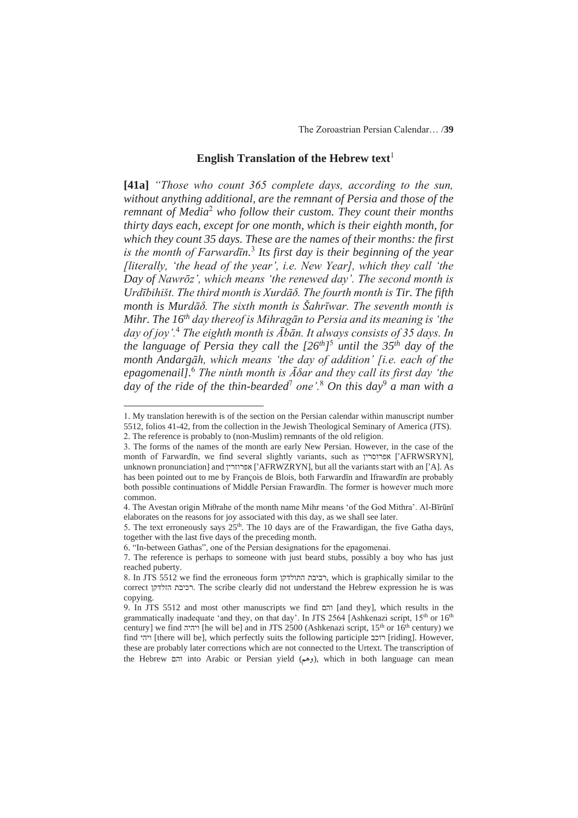#### **English Translation of the Hebrew text**<sup>1</sup>

**[41a]** *"Those who count 365 complete days, according to the sun, without anything additional, are the remnant of Persia and those of the*  remnant of Media<sup>2</sup> who follow their custom. They count their months *thirty days each, except for one month, which is their eighth month, for which they count 35 days. These are the names of their months: the first is the month of FarwardIn*.<sup>3</sup> Its first day is their beginning of the year *[literally, 'the head of the year', i.e. New Year], which they call 'the Day of Nawrǀz', which means 'the renewed day'. The second month is UrdƯbihišt. The third month is XurdƗį. The fourth month is Tir. The fifth month is MurdƗį. The sixth month is ŠahrƯwar. The seventh month is Mihr. The 16<sup>th</sup> day thereof is Mihragān to Persia and its meaning is 'the day of joy'.*<sup>4</sup> *The eighth month is*  $\overline{A}$ *ban. It always consists of 35 days. In the language of Persia they call the [26th]*<sup>5</sup>  *until the 35th day of the month AndargƗh, which means 'the day of addition' [i.e. each of the epagomenail*].<sup>6</sup> *The ninth month is*  $\bar{A}$  $\delta$ *ar and they call its first day 'the day of the ride of the thin-bearded*<sup>7</sup> *one'.*<sup>8</sup>  *On this day*<sup>9</sup>  *a man with a* 

<sup>1</sup>. My translation herewith is of the section on the Persian calendar within manuscript number 5512, folios 41-42, from the collection in the Jewish Theological Seminary of America (JTS). 2. The reference is probably to (non-Muslim) remnants of the old religion.

<sup>3</sup>. The forms of the names of the month are early New Persian. However, in the case of the month of Farwardīn, we find several slightly variants, such as אפרוסרין [AFRWSRYN], unknown pronunciation] and אפרוזרין [<sup>2</sup>AFRWZRYN], but all the variants start with an [<sup>2</sup>A]. As has been pointed out to me by François de Blois, both Farwardīn and Ifrawardīn are probably both possible continuations of Middle Persian Frawardīn. The former is however much more common.

<sup>4.</sup> The Avestan origin Mi $\theta$ rahe of the month name Mihr means 'of the God Mithra'. Al-Bīrūnī elaborates on the reasons for joy associated with this day, as we shall see later.

<sup>5.</sup> The text erroneously says  $25<sup>th</sup>$ . The 10 days are of the Frawardigan, the five Gatha days, together with the last five days of the preceding month.

<sup>6</sup>. "In-between Gathas", one of the Persian designations for the epagomenai.

<sup>7</sup>. The reference is perhaps to someone with just beard stubs, possibly a boy who has just reached puberty.

<sup>8.</sup> In JTS 5512 we find the erroneous form רביבת התולדקן, which is graphically similar to the correct ʯʷʣʬʦʤ ʺʡʩʫʸ. The scribe clearly did not understand the Hebrew expression he is was copying.

<sup>9.</sup> In JTS 5512 and most other manuscripts we find  $\overline{a}$ והם [and they], which results in the grammatically inadequate 'and they, on that day'. In JTS 2564 [Ashkenazi script,  $15<sup>th</sup>$  or  $16<sup>th</sup>$ century] we find ויהיה [he will be] and in JTS 2500 (Ashkenazi script, 15<sup>th</sup> or 16<sup>th</sup> century) we find רוקי [there will be], which perfectly suits the following participle רוכב [riding]. However, these are probably later corrections which are not connected to the Urtext. The transcription of the Hebrew והם into Arabic or Persian yield (وهم), which in both language can mean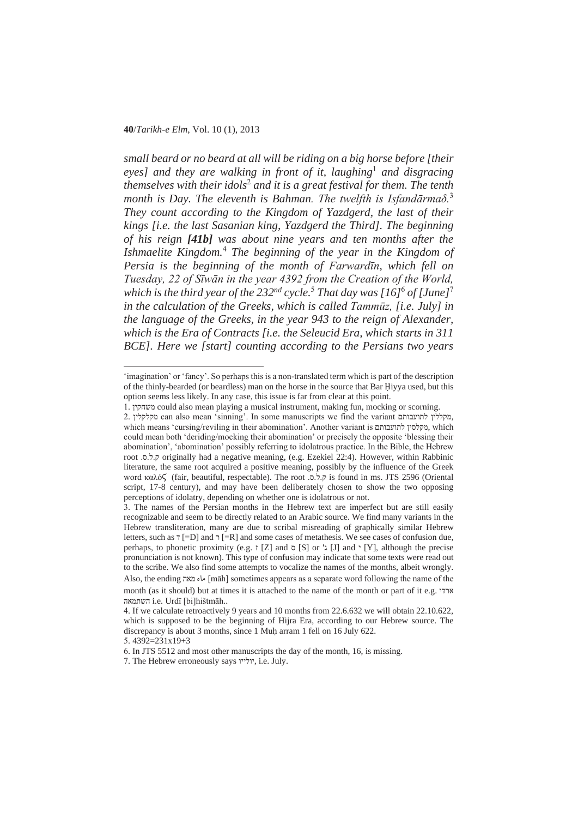*small beard or no beard at all will be riding on a big horse before [their*  eyes] and they are walking in front of it, laughing<sup>1</sup> and disgracing *themselves with their idols*<sup>2</sup>  *and it is a great festival for them. The tenth month is Day. The eleventh is Bahman. The twelfth is Isfand* $\tilde{a}$ *<i>rma* $\delta$ <sup>3</sup> *They count according to the Kingdom of Yazdgerd, the last of their kings [i.e. the last Sasanian king, Yazdgerd the Third]. The beginning of his reign [41b] was about nine years and ten months after the Ishmaelite Kingdom.*<sup>4</sup>  *The beginning of the year in the Kingdom of Persia is the beginning of the month of Farwardīn, which fell on Tuesday, 22 of Sīwān in the year 4392 from the Creation of the World, which is the third year of the 232nd cycle.*<sup>5</sup>  *That day was [16]*<sup>6</sup>  *of [June]*<sup>7</sup> *in the calculation of the Greeks, which is called Tammnjz, [i.e. July] in the language of the Greeks, in the year 943 to the reign of Alexander, which is the Era of Contracts [i.e. the Seleucid Era, which starts in 311 BCE]. Here we [start] counting according to the Persians two years* 

<sup>&#</sup>x27;imagination' or 'fancy'. So perhaps this is a non-translated term which is part of the description of the thinly-bearded (or beardless) man on the horse in the source that Bar Hiyya used, but this option seems less likely. In any case, this issue is far from clear at this point.

<sup>1</sup>. ʯʩʷʧʹʮ could also mean playing a musical instrument, making fun, mocking or scorning.

<sup>2.</sup> מקללין לתועבותם can also mean 'sinning'. In some manuscripts we find the variant מקללין, which means 'cursing/reviling in their abomination'. Another variant is מקלסין לתועבותם, which could mean both 'deriding/mocking their abomination' or precisely the opposite 'blessing their abomination', 'abomination' possibly referring to idolatrous practice. In the Bible, the Hebrew root .ʱ.ʬ.ʷ originally had a negative meaning, (e.g. Ezekiel 22:4). However, within Rabbinic literature, the same root acquired a positive meaning, possibly by the influence of the Greek word καλός (fair, beautiful, respectable). The root .ס.  $\bar{z}$ . is found in ms. JTS 2596 (Oriental script, 17-8 century), and may have been deliberately chosen to show the two opposing perceptions of idolatry, depending on whether one is idolatrous or not.

<sup>3</sup>. The names of the Persian months in the Hebrew text are imperfect but are still easily recognizable and seem to be directly related to an Arabic source. We find many variants in the Hebrew transliteration, many are due to scribal misreading of graphically similar Hebrew letters, such as  $\frac{1}{2}$  [=D] and  $\frac{1}{2}$  [=R] and some cases of metathesis. We see cases of confusion due, perhaps, to phonetic proximity (e.g.  $\tau$  [Z] and  $\sigma$  [S] or ' $\lambda$  [J] and  $\gamma$  [Y], although the precise pronunciation is not known). This type of confusion may indicate that some texts were read out to the scribe. We also find some attempts to vocalize the names of the months, albeit wrongly. Also, the ending ماه מאה [māh] sometimes appears as a separate word following the name of the month (as it should) but at times it is attached to the name of the month or part of it e.g.  $\forall \forall x$ השתמאה i.e. Urdī [bi]hištmāh..

<sup>4</sup>. If we calculate retroactively 9 years and 10 months from 22.6.632 we will obtain 22.10.622, which is supposed to be the beginning of Hijra Era, according to our Hebrew source. The discrepancy is about 3 months, since 1 Muh arram 1 fell on 16 July 622.

<sup>5</sup>. 4392=231x19+3

<sup>6</sup>. In JTS 5512 and most other manuscripts the day of the month, 16, is missing.

<sup>7</sup>. The Hebrew erroneously says ʥʩʩʬʥʩ, i.e. July.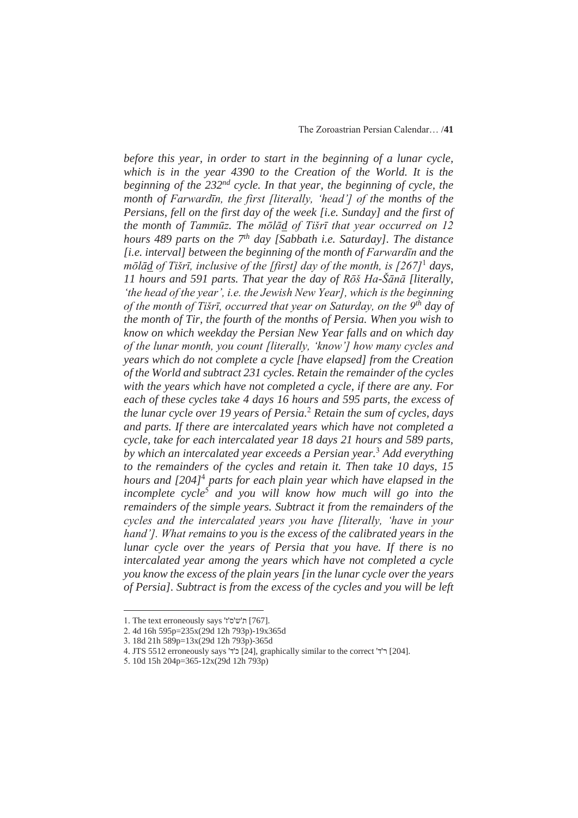*before this year, in order to start in the beginning of a lunar cycle, which is in the year 4390 to the Creation of the World. It is the beginning of the 232<sup>nd</sup> cycle. In that year, the beginning of cycle, the month of Farwardin, the first [literally, 'head'] of the months of the Persians, fell on the first day of the week [i.e. Sunday] and the first of the month of Tammūz. The molad of Tišrī that year occurred on 12 hours 489 parts on the 7th day [Sabbath i.e. Saturday]. The distance [i.e. interval] between the beginning of the month of Farward<sub>In</sub> and the m* $\frac{d}{dt}$  *of Tišrī, inclusive of the [first] day of the month, is [267]***<sup>1</sup> days,** *11 hours and 591 parts. That year the day of Rǀš Ha-ŠƗnƗ [literally, 'the head of the year', i.e. the Jewish New Year], which is the beginning of the month of TišrƯ, occurred that year on Saturday, on the 9th day of the month of Tir, the fourth of the months of Persia. When you wish to know on which weekday the Persian New Year falls and on which day of the lunar month, you count [literally, 'know'] how many cycles and years which do not complete a cycle [have elapsed] from the Creation of the World and subtract 231 cycles. Retain the remainder of the cycles with the years which have not completed a cycle, if there are any. For each of these cycles take 4 days 16 hours and 595 parts, the excess of the lunar cycle over 19 years of Persia.*<sup>2</sup>  *Retain the sum of cycles, days and parts. If there are intercalated years which have not completed a cycle, take for each intercalated year 18 days 21 hours and 589 parts, by which an intercalated year exceeds a Persian year.*<sup>3</sup>  *Add everything to the remainders of the cycles and retain it. Then take 10 days, 15 hours and [204]<sup>4</sup> parts for each plain year which have elapsed in the incomplete cycle*<sup>5</sup>  *and you will know how much will go into the remainders of the simple years. Subtract it from the remainders of the cycles and the intercalated years you have [literally, 'have in your hand']. What remains to you is the excess of the calibrated years in the lunar cycle over the years of Persia that you have. If there is no intercalated year among the years which have not completed a cycle you know the excess of the plain years [in the lunar cycle over the years of Persia]. Subtract is from the excess of the cycles and you will be left* 

<sup>1.</sup> The text erroneously says 'i'ש'ס'ז' [767].

<sup>2</sup>. 4d 16h 595p=235x(29d 12h 793p)-19x365d

<sup>3</sup>. 18d 21h 589p=13x(29d 12h 793p)-365d

<sup>4.</sup> JTS 5512 erroneously says 'יה' [24], graphically similar to the correct 'ר' [204].

<sup>5</sup>. 10d 15h 204p=365-12x(29d 12h 793p)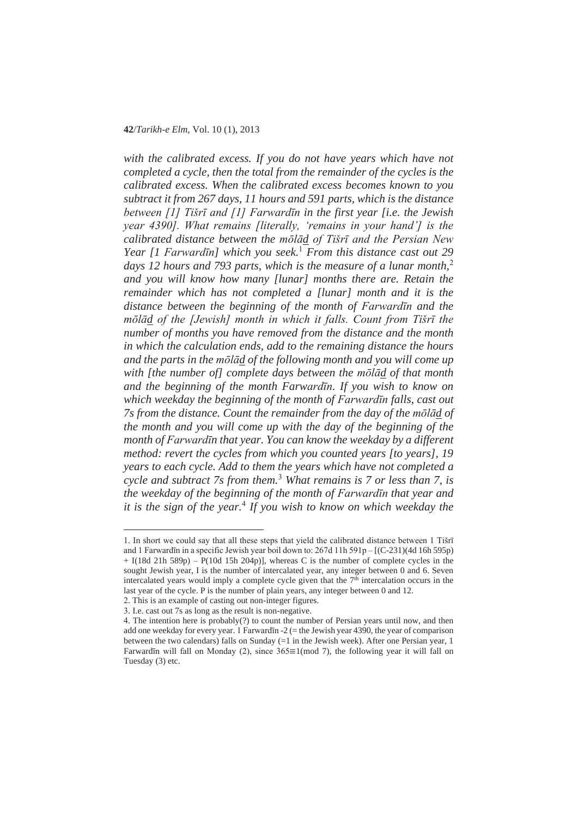*with the calibrated excess. If you do not have years which have not completed a cycle, then the total from the remainder of the cycles is the calibrated excess. When the calibrated excess becomes known to you subtract it from 267 days, 11 hours and 591 parts, which is the distance between [1] Tišrī and [1] Farwardīn in the first year [i.e. the Jewish year 4390]. What remains [literally, 'remains in your hand'] is the calibrated distance between the molad of Tišrī and the Persian New Year* [1 *FarwardIn*] which you seek.<sup>1</sup> *From this distance cast out* 29 *days 12 hours and 793 parts, which is the measure of a lunar month,*<sup>2</sup> *and you will know how many [lunar] months there are. Retain the remainder which has not completed a [lunar] month and it is the distance between the beginning of the month of Farward* $\bar{u}$  *and the m*<sup> $\bar{\theta}$ *l* $\bar{\theta}$ *d of the [Jewish] month in which it falls. Count from Tišrī the*</sup> *number of months you have removed from the distance and the month in which the calculation ends, add to the remaining distance the hours and the parts in the mǀlƗd of the following month and you will come up with [the number of] complete days between the molad of that month and the beginning of the month FarwardIn. If you wish to know on which weekday the beginning of the month of Farward<sub>In</sub> falls, cast out 7s from the distance. Count the remainder from the day of the molad of the month and you will come up with the day of the beginning of the month of Farwardīn that year. You can know the weekday by a different method: revert the cycles from which you counted years [to years], 19 years to each cycle. Add to them the years which have not completed a cycle and subtract 7s from them.*<sup>3</sup>  *What remains is 7 or less than 7, is the weekday of the beginning of the month of Farward<sub>In</sub> that year and it is the sign of the year.*<sup>4</sup>  *If you wish to know on which weekday the* 

<sup>1.</sup> In short we could say that all these steps that yield the calibrated distance between 1 Tišrī and 1 Farward in a specific Jewish year boil down to:  $267d$  11h  $591p - [(C-231)(4d 16h 595p)$  $+$  I(18d 21h 589p) – P(10d 15h 204p)], whereas C is the number of complete cycles in the sought Jewish year, I is the number of intercalated year, any integer between 0 and 6. Seven intercalated years would imply a complete cycle given that the  $7<sup>th</sup>$  intercalation occurs in the last year of the cycle. P is the number of plain years, any integer between 0 and 12.

<sup>2</sup>. This is an example of casting out non-integer figures.

<sup>3</sup>. I.e. cast out 7s as long as the result is non-negative.

<sup>4</sup>. The intention here is probably(?) to count the number of Persian years until now, and then add one weekday for every year. 1 Farwardīn -2 (= the Jewish year 4390, the year of comparison between the two calendars) falls on Sunday (=1 in the Jewish week). After one Persian year, 1 Farward in will fall on Monday (2), since  $365 \equiv 1 \pmod{7}$ , the following year it will fall on Tuesday (3) etc.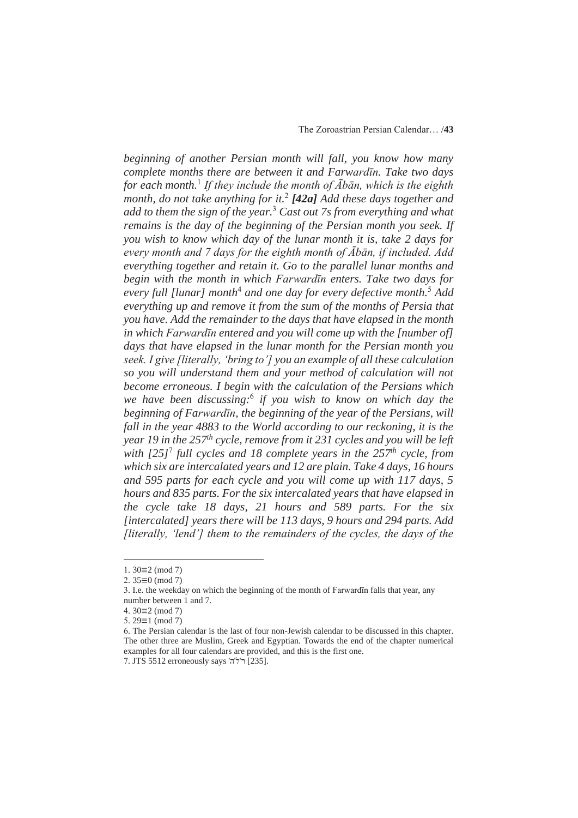*beginning of another Persian month will fall, you know how many complete months there are between it and Farward<sub><i>In*</sub>. Take two days *for each month.*<sup>1</sup> *If they include the month of*  $\overline{A}$ *bān, which is the eighth month, do not take anything for it.*<sup>2</sup> *[42a] Add these days together and add to them the sign of the year.*<sup>3</sup>  *Cast out 7s from everything and what remains is the day of the beginning of the Persian month you seek. If you wish to know which day of the lunar month it is, take 2 days for every month and 7 days for the eighth month of*  $\overline{A}$ *ban, if included. Add everything together and retain it. Go to the parallel lunar months and begin with the month in which FarwardIn enters. Take two days for* every full [lunar] month<sup>4</sup> and one day for every defective month.<sup>5</sup> Add *everything up and remove it from the sum of the months of Persia that you have. Add the remainder to the days that have elapsed in the month in which FarwardIn entered and you will come up with the [number of] days that have elapsed in the lunar month for the Persian month you seek. I give [literally, 'bring to'] you an example of all these calculation so you will understand them and your method of calculation will not become erroneous. I begin with the calculation of the Persians which we have been discussing:*<sup>6</sup>  *if you wish to know on which day the beginning of Farwardīn, the beginning of the year of the Persians, will fall in the year 4883 to the World according to our reckoning, it is the year 19 in the 257th cycle, remove from it 231 cycles and you will be left*  with  $[25]^7$  full cycles and 18 complete years in the 257<sup>th</sup> cycle, from *which six are intercalated years and 12 are plain. Take 4 days, 16 hours and 595 parts for each cycle and you will come up with 117 days, 5 hours and 835 parts. For the six intercalated years that have elapsed in the cycle take 18 days, 21 hours and 589 parts. For the six [intercalated] years there will be 113 days, 9 hours and 294 parts. Add [literally, 'lend'] them to the remainders of the cycles, the days of the* 

 $1.30 \equiv 2 \pmod{7}$ 

 $2.35 \equiv 0 \pmod{7}$ 

<sup>3.</sup> I.e. the weekday on which the beginning of the month of Farward In falls that year, any number between 1 and 7.

<sup>4.</sup>  $30 \equiv 2 \pmod{7}$ 

 $5.29 \equiv 1 \pmod{7}$ 

<sup>6</sup>. The Persian calendar is the last of four non-Jewish calendar to be discussed in this chapter. The other three are Muslim, Greek and Egyptian. Towards the end of the chapter numerical examples for all four calendars are provided, and this is the first one.

<sup>7.</sup> JTS 5512 erroneously says 'ל'ה' [235].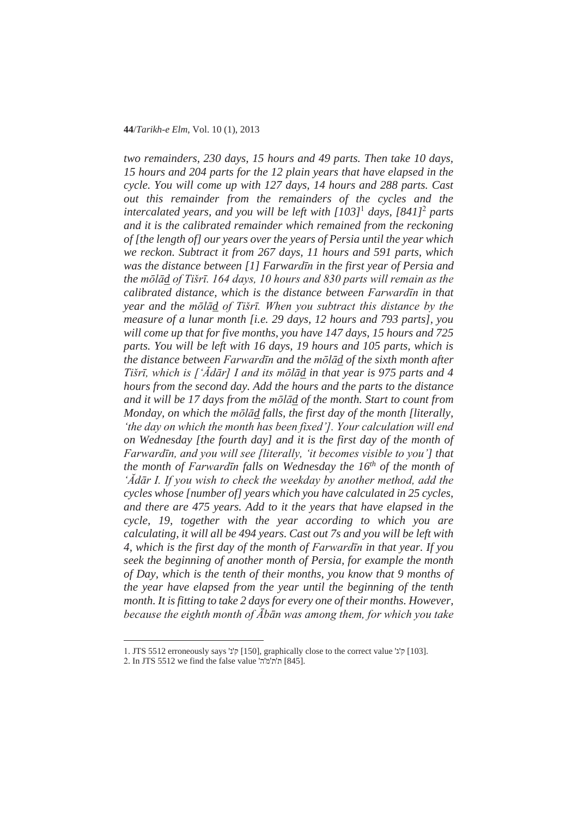*two remainders, 230 days, 15 hours and 49 parts. Then take 10 days, 15 hours and 204 parts for the 12 plain years that have elapsed in the cycle. You will come up with 127 days, 14 hours and 288 parts. Cast out this remainder from the remainders of the cycles and the intercalated years, and you will be left with [103]*<sup>1</sup>  *days, [841]*<sup>2</sup>  *parts and it is the calibrated remainder which remained from the reckoning of [the length of] our years over the years of Persia until the year which we reckon. Subtract it from 267 days, 11 hours and 591 parts, which was the distance between* [1] Farward*īn* in the first year of Persia and *the molad of Tišrī. 164 days, 10 hours and 830 parts will remain as the calibrated distance, which is the distance between Farward* $\overline{\mu}$  *in that year and the mǀlƗd of TišrƯ. When you subtract this distance by the measure of a lunar month [i.e. 29 days, 12 hours and 793 parts], you will come up that for five months, you have 147 days, 15 hours and 725 parts. You will be left with 16 days, 19 hours and 105 parts, which is the distance between FarwardIn and the molad of the sixth month after Tišrī*, which is  $\int' \overline{A} d\overline{a} r$ ] I and its molad in that year is 975 parts and 4 *hours from the second day. Add the hours and the parts to the distance and it will be 17 days from the mǀlƗd of the month. Start to count from Monday, on which the molad falls, the first day of the month [literally, 'the day on which the month has been fixed']. Your calculation will end on Wednesday [the fourth day] and it is the first day of the month of FarwardIn, and you will see [literally, 'it becomes visible to you'] that the month of FarwardIn falls on Wednesday the 16<sup>th</sup> of the month of 'ĂdƗr I. If you wish to check the weekday by another method, add the cycles whose [number of] years which you have calculated in 25 cycles, and there are 475 years. Add to it the years that have elapsed in the cycle, 19, together with the year according to which you are calculating, it will all be 494 years. Cast out 7s and you will be left with 4, which is the first day of the month of Farward* $\overline{\mu}$  *in that year. If you seek the beginning of another month of Persia, for example the month of Day, which is the tenth of their months, you know that 9 months of the year have elapsed from the year until the beginning of the tenth month. It is fitting to take 2 days for every one of their months. However, because the eighth month of*  $\overline{A}b\overline{a}n$  *was among them, for which you take* 

<sup>1.</sup> JTS 5512 erroneously says 'ק'ג' [150], graphically close to the correct value 'א'ף [103].

<sup>2.</sup> In JTS 5512 we find the false value 'ת'מ'ה [845].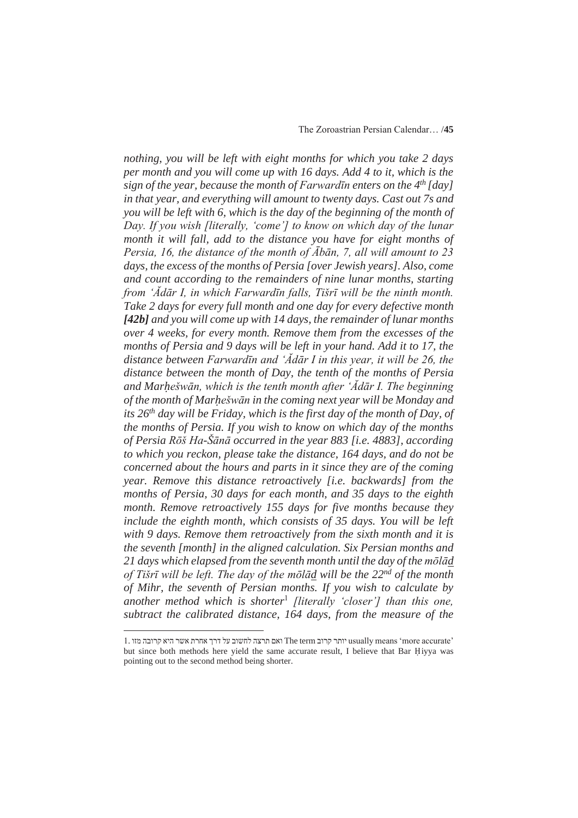*nothing, you will be left with eight months for which you take 2 days per month and you will come up with 16 days. Add 4 to it, which is the sign of the year, because the month of FarwardIn enters on the 4<sup>th</sup> [day] in that year, and everything will amount to twenty days. Cast out 7s and you will be left with 6, which is the day of the beginning of the month of Day. If you wish [literally, 'come'] to know on which day of the lunar month it will fall, add to the distance you have for eight months of Persia, 16, the distance of the month of*  $\overline{A}b\overline{a}n$ *, 7, all will amount to 23 days, the excess of the months of Persia [over Jewish years]. Also, come and count according to the remainders of nine lunar months, starting from '*<sup>*A*</sup>*dār I, in which FarwardIn falls, Tišrī will be the ninth month. Take 2 days for every full month and one day for every defective month [42b] and you will come up with 14 days, the remainder of lunar months over 4 weeks, for every month. Remove them from the excesses of the*  months of Persia and 9 days will be left in your hand. Add it to 17, the *distance between Farwardīn and 'Ădār I in this year, it will be 26, the distance between the month of Day, the tenth of the months of Persia and Mar٭ešwƗn, which is the tenth month after 'ĂdƗr I. The beginning of the month of Mar٭ešwƗn in the coming next year will be Monday and its 26th day will be Friday, which is the first day of the month of Day, of the months of Persia. If you wish to know on which day of the months of Persia Rǀš Ha-ŠƗnƗ occurred in the year 883 [i.e. 4883], according to which you reckon, please take the distance, 164 days, and do not be concerned about the hours and parts in it since they are of the coming year. Remove this distance retroactively [i.e. backwards] from the months of Persia, 30 days for each month, and 35 days to the eighth month. Remove retroactively 155 days for five months because they include the eighth month, which consists of 35 days. You will be left with 9 days. Remove them retroactively from the sixth month and it is the seventh [month] in the aligned calculation. Six Persian months and*  21 days which elapsed from the seventh month until the day of the molad *of Tišrī* will be left. The day of the m<sup> $\bar{\rho}$ </sup>*la l be the 22<sup>nd</sup> of the month of Mihr, the seventh of Persian months. If you wish to calculate by another method which is shorter*<sup>1</sup> *[literally 'closer'] than this one, subtract the calibrated distance, 164 days, from the measure of the* 

<sup>1</sup>. ʥʦʮ ʤʡʥʸʷ ʠʩʤ ʸʹʠ ʺʸʧʠ ʪʸʣ ʬʲ ʡʥʹʧʬ ʤʶʸʺ ʭʠʥ The term ʡʥʸʷ ʸʺʥʩ usually means 'more accurate' but since both methods here yield the same accurate result, I believe that Bar Hiyya was pointing out to the second method being shorter.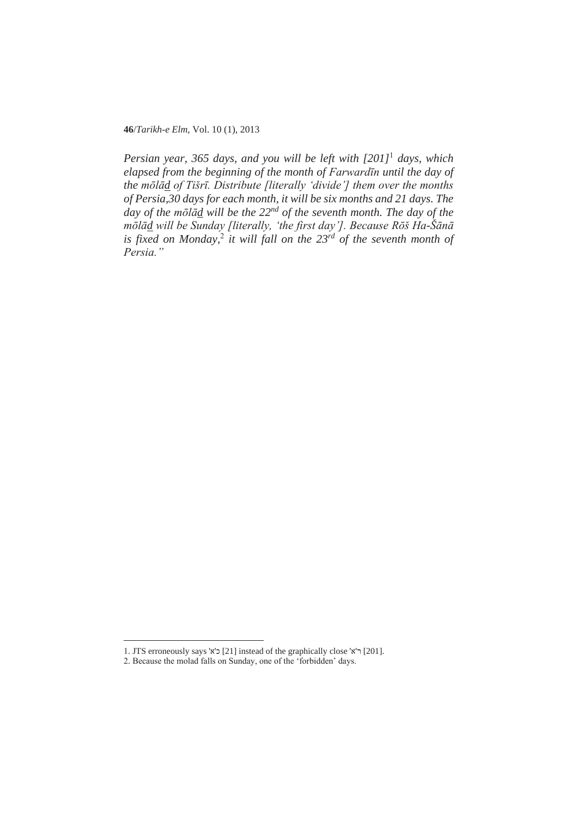**46**/*Tarikh-e Elm*, Vol. 10 (1), 2013

*Persian year, 365 days, and you will be left with [201]*<sup>1</sup>  *days, which elapsed from the beginning of the month of Farward* $\overline{u}$  *until the day of the molad of Tišrī. Distribute [literally 'divide'] them over the months of Persia,30 days for each month, it will be six months and 21 days. The day of the mola<sup><i>i*</sup> will be the 22<sup>nd</sup> of the seventh month. The day of the *mǀlƗd will be Sunday [literally, 'the first day']. Because Rǀš Ha-ŠƗnƗ* is fixed on Monday,<sup>2</sup> it will fall on the 23<sup>rd</sup> of the seventh month of *Persia."*

<sup>1</sup>. JTS erroneously says 'ʠ'ʫ [21] instead of the graphically close 'ʠ'ʸ [201].

<sup>2</sup>. Because the molad falls on Sunday, one of the 'forbidden' days.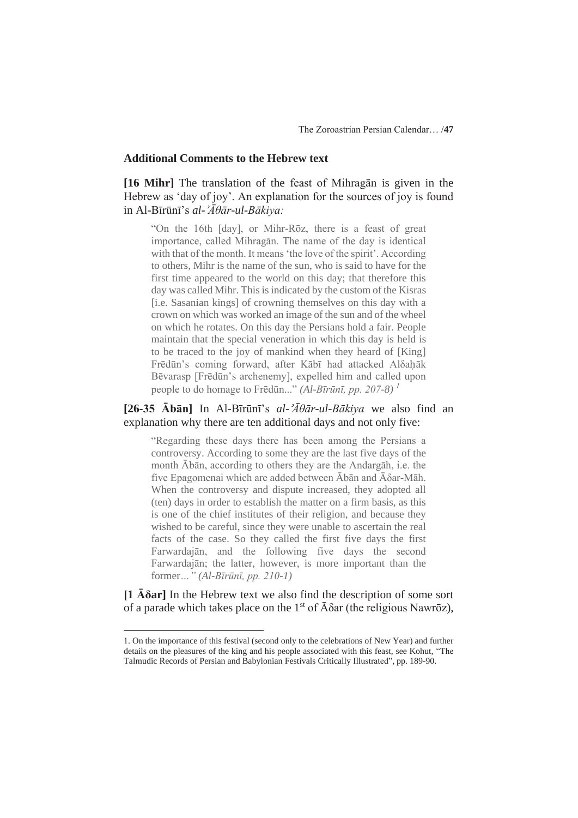#### **Additional Comments to the Hebrew text**

[16 Mihr] The translation of the feast of Mihragan is given in the Hebrew as 'day of joy'. An explanation for the sources of joy is found in Al-Bīrūnī's *al-'Āθār-ul-Bākiya:* 

"On the 16th [day], or Mihr-Rōz, there is a feast of great importance, called Mihragan. The name of the day is identical with that of the month. It means 'the love of the spirit'. According to others, Mihr is the name of the sun, who is said to have for the first time appeared to the world on this day; that therefore this day was called Mihr. This is indicated by the custom of the Kisras [i.e. Sasanian kings] of crowning themselves on this day with a crown on which was worked an image of the sun and of the wheel on which he rotates. On this day the Persians hold a fair. People maintain that the special veneration in which this day is held is to be traced to the joy of mankind when they heard of [King] Frēdūn's coming forward, after Kābī had attacked Aloahāk Bēvarasp [Frēdūn's archenemy], expelled him and called upon people to do homage to Frēdūn..." *(Al-Bīrūnī, pp. 207-8)*<sup>1</sup>

# $[26-35 \text{ Å}$ **b** $\bar{a}$ **n**] In Al-B<del>I</del>rūnī's *al-'* $\bar{A}\theta$ *ār-ul-Bākiva* we also find an explanation why there are ten additional days and not only five:

"Regarding these days there has been among the Persians a controversy. According to some they are the last five days of the month Ābān, according to others they are the Andargāh, i.e. the five Epagomenai which are added between  $\bar{A}b\bar{a}n$  and  $\bar{A}\delta a$ r-M $\bar{a}h$ . When the controversy and dispute increased, they adopted all (ten) days in order to establish the matter on a firm basis, as this is one of the chief institutes of their religion, and because they wished to be careful, since they were unable to ascertain the real facts of the case. So they called the first five days the first Farwardajān, and the following five days the second Farwardajān; the latter, however, is more important than the  $for$ *mer...*" *(Al-Bīrūnī, pp. 210-1)* 

 $[1 \overline{A} \delta a r]$  In the Hebrew text we also find the description of some sort of a parade which takes place on the 1<sup>st</sup> of  $\bar{A} \delta \alpha r$  (the religious Nawr $\bar{o}z$ ),

<sup>1</sup>. On the importance of this festival (second only to the celebrations of New Year) and further details on the pleasures of the king and his people associated with this feast, see Kohut, "The Talmudic Records of Persian and Babylonian Festivals Critically Illustrated", pp. 189-90.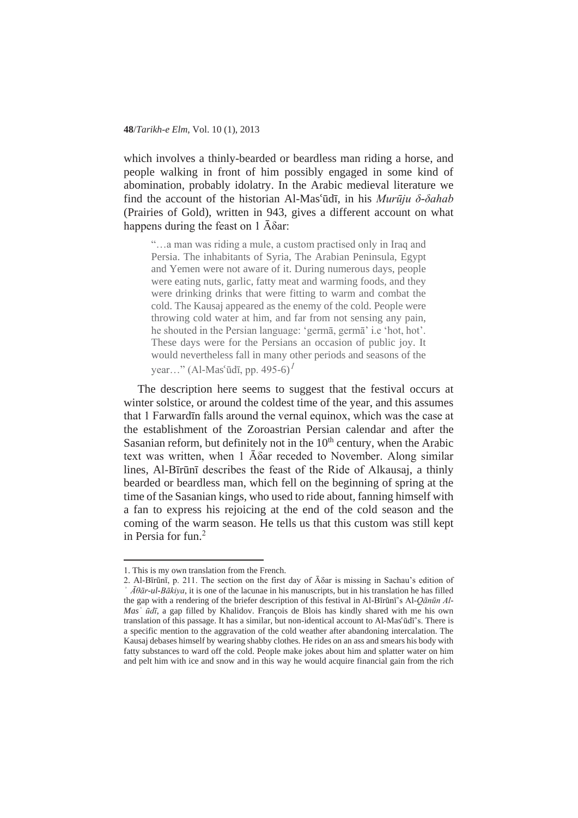which involves a thinly-bearded or beardless man riding a horse, and people walking in front of him possibly engaged in some kind of abomination, probably idolatry. In the Arabic medieval literature we find the account of the historian Al-Mas'ūdī, in his *Murūju*  $\delta$ *-* $\delta$ *ahab* (Prairies of Gold), written in 943, gives a different account on what happens during the feast on 1  $\bar{A}$  $\delta$ ar:

"…a man was riding a mule, a custom practised only in Iraq and Persia. The inhabitants of Syria, The Arabian Peninsula, Egypt and Yemen were not aware of it. During numerous days, people were eating nuts, garlic, fatty meat and warming foods, and they were drinking drinks that were fitting to warm and combat the cold. The Kausaj appeared as the enemy of the cold. People were throwing cold water at him, and far from not sensing any pain, he shouted in the Persian language: 'germa, germa' i.e 'hot, hot'. These days were for the Persians an occasion of public joy. It would nevertheless fall in many other periods and seasons of the year..." (Al-Mas'ūdī, pp. 495-6)<sup> $1$ </sup>

The description here seems to suggest that the festival occurs at winter solstice, or around the coldest time of the year, and this assumes that 1 Farward in falls around the vernal equinox, which was the case at the establishment of the Zoroastrian Persian calendar and after the Sasanian reform, but definitely not in the  $10<sup>th</sup>$  century, when the Arabic text was written, when  $1$   $\bar{A}$  $\delta$ ar receded to November. Along similar lines, Al-Bīrūnī describes the feast of the Ride of Alkausaj, a thinly bearded or beardless man, which fell on the beginning of spring at the time of the Sasanian kings, who used to ride about, fanning himself with a fan to express his rejoicing at the end of the cold season and the coming of the warm season. He tells us that this custom was still kept in Persia for fun.<sup>2</sup>

<sup>1</sup>. This is my own translation from the French.

<sup>2.</sup> Al-Bīrūnī, p. 211. The section on the first day of  $\bar{A}$  $\delta$ ar is missing in Sachau's edition of *ӄ ƖșƗr-ul-BƗkiya*, it is one of the lacunae in his manuscripts, but in his translation he has filled the gap with a rendering of the briefer description of this festival in Al-Bīrūnī's Al-*Qānūn Al*-*Mas<sup>'</sup> ūdī*, a gap filled by Khalidov. François de Blois has kindly shared with me his own translation of this passage. It has a similar, but non-identical account to Al-Mas'ūdī's. There is a specific mention to the aggravation of the cold weather after abandoning intercalation. The Kausaj debases himself by wearing shabby clothes. He rides on an ass and smears his body with fatty substances to ward off the cold. People make jokes about him and splatter water on him and pelt him with ice and snow and in this way he would acquire financial gain from the rich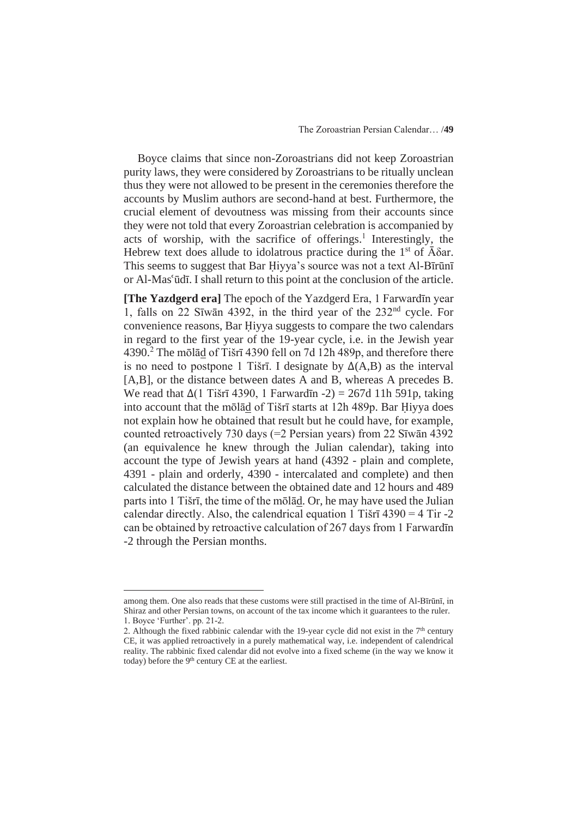Boyce claims that since non-Zoroastrians did not keep Zoroastrian purity laws, they were considered by Zoroastrians to be ritually unclean thus they were not allowed to be present in the ceremonies therefore the accounts by Muslim authors are second-hand at best. Furthermore, the crucial element of devoutness was missing from their accounts since they were not told that every Zoroastrian celebration is accompanied by acts of worship, with the sacrifice of offerings.<sup>1</sup> Interestingly, the Hebrew text does allude to idolatrous practice during the  $1<sup>st</sup>$  of  $\bar{A} \delta$ ar. This seems to suggest that Bar Hiyya's source was not a text Al-Bīrūnī or Al-Mas'ūdī. I shall return to this point at the conclusion of the article.

**[The Yazdgerd era]** The epoch of the Yazdgerd Era, 1 Farwardin year 1, falls on  $22$  Sīwān 4392, in the third year of the  $232<sup>nd</sup>$  cycle. For convenience reasons, Bar Hiyya suggests to compare the two calendars in regard to the first year of the 19-year cycle, i.e. in the Jewish year 4390.<sup>2</sup> The molad of Tišrī 4390 fell on 7d 12h 489p, and therefore there is no need to postpone 1 Tišrī. I designate by  $\Delta(A,B)$  as the interval [A,B], or the distance between dates A and B, whereas A precedes B. We read that  $\Delta(1 \text{Ti}\sin 4390, 1 \text{ Farward}$  -2) = 267d 11h 591p, taking into account that the molad of Tišrī starts at 12h 489p. Bar Hiyya does not explain how he obtained that result but he could have, for example, counted retroactively 730 days (=2 Persian years) from 22 S $\bar{x}$ w $\bar{a}$ n 4392 (an equivalence he knew through the Julian calendar), taking into account the type of Jewish years at hand (4392 - plain and complete, 4391 - plain and orderly, 4390 - intercalated and complete) and then calculated the distance between the obtained date and 12 hours and 489 parts into 1 Tišrī, the time of the mōlād. Or, he may have used the Julian calendar directly. Also, the calendrical equation 1 Tišrī  $4390 = 4$  Tir -2 can be obtained by retroactive calculation of 267 days from 1 Farward In -2 through the Persian months.

among them. One also reads that these customs were still practised in the time of Al-Bīrūnī, in Shiraz and other Persian towns, on account of the tax income which it guarantees to the ruler. 1. Boyce 'Further'. pp. 21-2.

<sup>2.</sup> Although the fixed rabbinic calendar with the 19-year cycle did not exist in the  $7<sup>th</sup>$  century CE, it was applied retroactively in a purely mathematical way, i.e. independent of calendrical reality. The rabbinic fixed calendar did not evolve into a fixed scheme (in the way we know it today) before the 9<sup>th</sup> century CE at the earliest.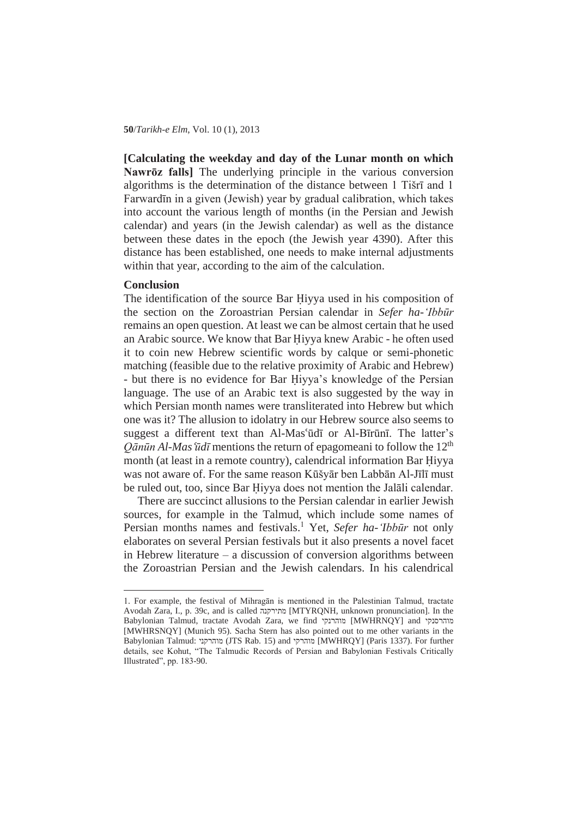**[Calculating the weekday and day of the Lunar month on which**  Nawr<sub> $\bar{v}$ </sub> falls<sup>]</sup> The underlying principle in the various conversion algorithms is the determination of the distance between 1 Tišrī and 1 Farward in a given (Jewish) year by gradual calibration, which takes into account the various length of months (in the Persian and Jewish calendar) and years (in the Jewish calendar) as well as the distance between these dates in the epoch (the Jewish year 4390). After this distance has been established, one needs to make internal adjustments within that year, according to the aim of the calculation.

### **Conclusion**

The identification of the source Bar Hiyya used in his composition of the section on the Zoroastrian Persian calendar in *Sefer ha-'Ibbnjr* remains an open question. At least we can be almost certain that he used an Arabic source. We know that Bar Hiyya knew Arabic - he often used it to coin new Hebrew scientific words by calque or semi-phonetic matching (feasible due to the relative proximity of Arabic and Hebrew) - but there is no evidence for Bar Hiyya's knowledge of the Persian language. The use of an Arabic text is also suggested by the way in which Persian month names were transliterated into Hebrew but which one was it? The allusion to idolatry in our Hebrew source also seems to suggest a different text than Al-Mas'ūdī or Al-Bīrūnī. The latter's *Q* $\bar{a}$ *n* $\bar{a}$ *nAl-Mas*  $\bar{u}$ *d* $\bar{u}$  mentions the return of epagomeani to follow the 12<sup>th</sup> month (at least in a remote country), calendrical information Bar Hiyya was not aware of. For the same reason Kūšyār ben Labbān Al-Jīlī must be ruled out, too, since Bar Hivya does not mention the Jalali calendar.

There are succinct allusions to the Persian calendar in earlier Jewish sources, for example in the Talmud, which include some names of Persian months names and festivals.<sup>1</sup> Yet, Sefer ha-'*Ibbūr* not only elaborates on several Persian festivals but it also presents a novel facet in Hebrew literature – a discussion of conversion algorithms between the Zoroastrian Persian and the Jewish calendars. In his calendrical

<sup>1.</sup> For example, the festival of Mihragan is mentioned in the Palestinian Talmud, tractate Avodah Zara, I., p. 39c, and is called מתירקנה [MTYRQNH, unknown pronunciation]. In the Babylonian Talmud, tractate Avodah Zara, we find מוהרנקי [MWHRNQY] and מוהרסנקי [MWHRSNQY] (Munich 95). Sacha Stern has also pointed out to me other variants in the Babylonian Talmud: מההרקני (JTS Rab. 15) and מוהרקי [MWHRQY] (Paris 1337). For further details, see Kohut, "The Talmudic Records of Persian and Babylonian Festivals Critically Illustrated", pp. 183-90.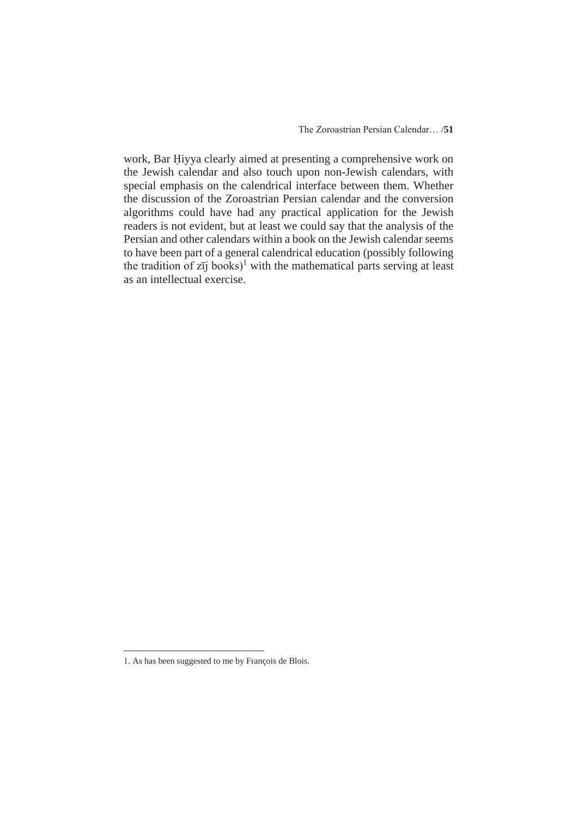work, Bar Hiyya clearly aimed at presenting a comprehensive work on the Jewish calendar and also touch upon non-Jewish calendars, with special emphasis on the calendrical interface between them. Whether the discussion of the Zoroastrian Persian calendar and the conversion algorithms could have had any practical application for the Jewish readers is not evident, but at least we could say that the analysis of the Persian and other calendars within a book on the Jewish calendar seems to have been part of a general calendrical education (possibly following the tradition of  $z_{ij}$  books)<sup>1</sup> with the mathematical parts serving at least as an intellectual exercise.

<sup>1</sup>. As has been suggested to me by François de Blois.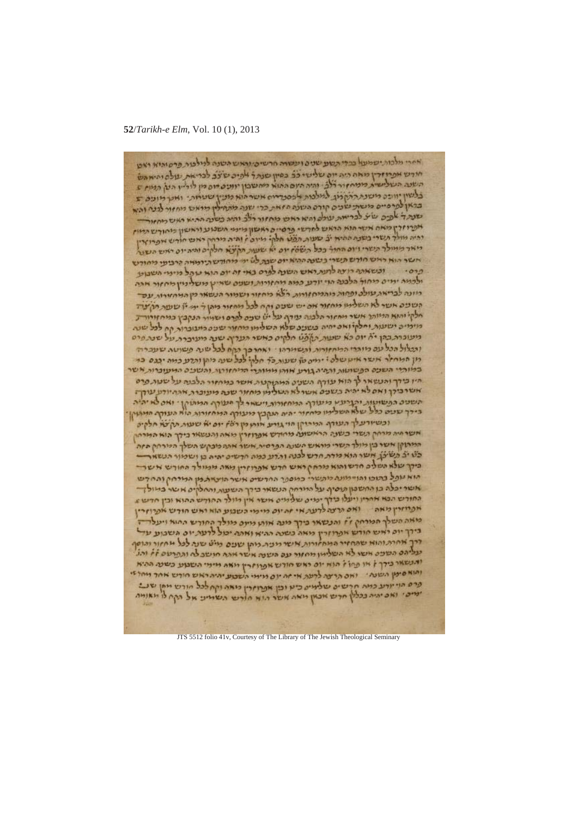**52**/*Tarikh-e Elm*, Vol. 10 (1), 2013

אחרי מלכות ישמעו כברי תשע שנים ועשות חרשים והאש השנה לנילבות פרס והיא ראט חירש אפייזדין מאה היה יום שלישי כל כשיון שנת ל אפיכ שצב לבריאת עולם והיא הש השנה העלישית ממחזור דלב וחיה היום ההוא מחשבון יוועט דום מן לוליין הען המוז ב בלשון יוובה משנת ההקלון. למלכות לפסכדאים אשר הוא מציין שעמות: ואת מונים ב שנה ד אפים שיע לבריאת עולם והיא ראש מחזור רולב והיה כשנה ההיא ראש מחזור אפרוזרן כיאם אשר הוא הראש לחדשי פרסיים ראשון מימי תשכוע וראשון מחודש המוז ומיה מולך תשרי בשנה ההיא יצ שעות הצע חלק: מינה ז והיה מימין ראש חודש את הואין ריאר ממולך תשרי ויום החור ככל השהן יום יא שעות תקיצא חלקים והיה יום ראש השונה אשר הוא ראש חורש תשרי כשמה ההוא יום שבת לט יש מחודש תיומאה קרביפי מחודש פרסי נעשאתה רוצה לתות ראש השנה לפרס באי זה יום הוא עוהל מיימי השבועי ילממה ימים מחול הלבנה הוי יודע כמה מחזורות ושעם שהין משליניין מחזור אהה כיונה לבריאת עולם ופחות כוהמחזורות רצא מחזור ושמור הנשאר מן המחזורות עכד הטכים אשר לא השלמו מחזור אם יש שעם וקח לכל מחזור מהן ל ידי לן שעת תקצה חלקי והנא הדיותר אשר מחזור הלבנה עודף על יש שנים לפרס ושמור הנקבץ כמיחזורור מימים ישעות וחלקו ואם יחיה בשנים שלא השלימו מחזיר שנים ביעוברות קח למל שנה מעוכרת בהן יה יום כא שעות תופט חלקים כאשר העדיף שנה מעוכרת על שנתפרס והבלול הכל עם כיותרי המחזורות והשוורהו . ואחר כך הקח לכל שנה פשוטה שעברה מן המחזר אשר איטשלה : יריה כה שעות כל חלקי לכל שנה מקו והדע כמה יבנס בד היו בידך והעשאר לך הוא עודף השנים המתוקטת אשר במחזור הלבנה על שטות פרס<br>אשר בידך ואם לא יהיה בשנים אשר לא הטלימי מחזור שנה מעוברת אההיודע עודך: השנים הפשוטות והברעא מיעורף המחזורות וישחר לך מעורף המתוקן . ואם לא יהיה בירך שנים כלל שלא השלמו מחזור יהיה העקבץ מינורף המחזורות הוא העורך המתוקן וכשיורעלך העורף המרוקן הוי גורע אות מן ראן יום יא שעות תקישו חלקים אשר חיה מרחק השרי בשנה הראשונה מחודש אפרוזרין מאה והנשאר בידך הוא המרחק המיתוקן אשר בין מולך השרי מוראש השנה הפרסית אשר אתה מכקש השלך המרחק הזה כלי יצ תשיכן אישו הוא מרת חרש לכנה והדע כמה חרשים יהיה בן ושמור הנשא ביק שלא השלים חדשו הוא מרחק ראש חדש אפרוזרין נאתה ממוולד החודש אשר הוא עתל בתוכו והויימונה מתשרי כמספר החרשים אשר הוצאת מן המרחק והחדש אשר יכלה בן החשבון תופיף על היורחק הנשאר בירך השעות והחלקים אשר במולך החורש הבא אחריו ויעלו בירך יפנים שלימים אישר אין מולר החורש ההוא וכין חדש ב אפרוזרין מאה נאס עדנה לרעת אי זהיום מימי השבוע הוא ואש חודש אפרוזרין מאה השלך המרחק ז'ו והנשאו בירך מנה אותן מינס מולך החורש החוא ויעלד בירך יום ראש חודש אפרוזרין מאה כשנה ההיא ואתה יכול לרעת יום השבוע עד דרך אחרת והוא שהחזיר המחזורות אישר רובית ניתן שנים נייט שנה לכל מחזור והוסף עליהם השפט אשו לא השלימן מחזור עם השנה אשר אתא חושב לה והפרעם זֹא והג ותנשאר בירך ל או פחול הנא יום ראש חודש אפרוזרץ ויאה מימי השנוע כשנה ההיא והוא סימן השנהי ואם הרצה לרעה אי זה יום ורימי השבוע יהיה ראש חורש אחר מחל זי פרס הוי יורע כמה חרשים שלמים כיא וכן אפרוזרין מאה וקח לכל חורש מחן שנ ימים: ואם יהיה בכללן חרש אבאן מאה אשר הזא חורש השמיע אל הקח לו מאומה

JTS 5512 folio 41v, Courtesy of The Library of The Jewish Theological Seminary